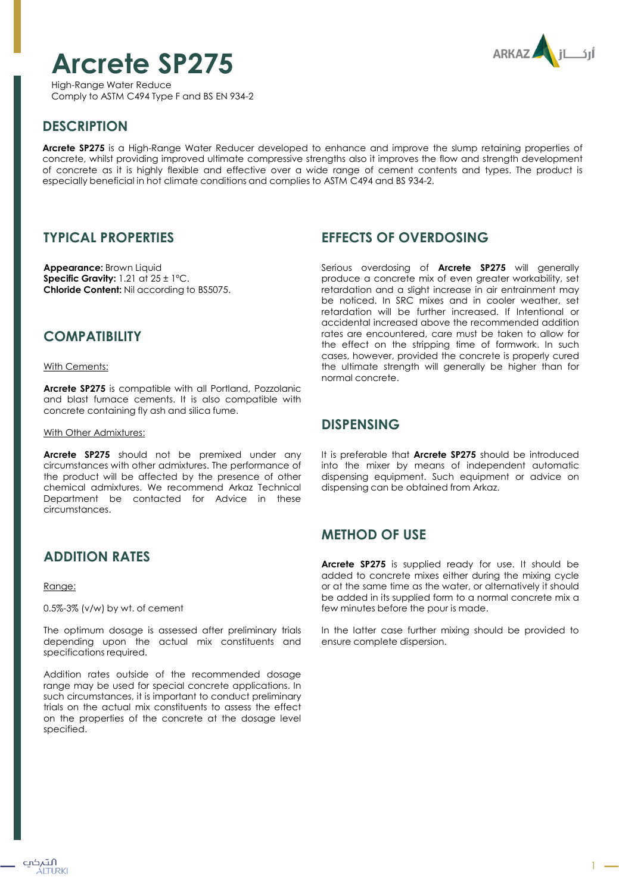# **Arcrete SP275**

**ARKAZ** 

High-Range Water Reduce Comply to ASTM C494 Type F and BS EN 934-2

# **DESCRIPTION**

**Arcrete SP275** is a High-Range Water Reducer developed to enhance and improve the slump retaining properties of concrete, whilst providing improved ultimate compressive strengths also it improves the flow and strength development of concrete as it is highly flexible and effective over a wide range of cement contents and types. The product is especially beneficial in hot climate conditions and complies to ASTM C494 and BS 934-2.

### **TYPICAL PROPERTIES**

**Appearance:** Brown Liquid **Specific Gravity:** 1.21 at 25 ± 1ºC. **Chloride Content:** Nil according to BS5075.

### **COMPATIBILITY**

With Cements:

**Arcrete SP275** is compatible with all Portland, Pozzolanic and blast furnace cements. It is also compatible with concrete containing fly ash and silica fume.

#### With Other Admixtures:

**Arcrete SP275** should not be premixed under any circumstances with other admixtures. The performance of the product will be affected by the presence of other chemical admixtures. We recommend Arkaz Technical Department be contacted for Advice in these circumstances.

## **ADDITION RATES**

Range:

0.5%-3% (v/w) by wt. of cement

The optimum dosage is assessed after preliminary trials depending upon the actual mix constituents and specifications required.

Addition rates outside of the recommended dosage range may be used for special concrete applications. In such circumstances, it is important to conduct preliminary trials on the actual mix constituents to assess the effect on the properties of the concrete at the dosage level specified.

### **EFFECTS OF OVERDOSING**

Serious overdosing of **Arcrete SP275** will generally produce a concrete mix of even greater workability, set retardation and a slight increase in air entrainment may be noticed. In SRC mixes and in cooler weather, set retardation will be further increased. If Intentional or accidental increased above the recommended addition rates are encountered, care must be taken to allow for the effect on the stripping time of formwork. In such cases, however, provided the concrete is properly cured the ultimate strength will generally be higher than for normal concrete.

#### **DISPENSING**

It is preferable that **Arcrete SP275** should be introduced into the mixer by means of independent automatic dispensing equipment. Such equipment or advice on dispensing can be obtained from Arkaz.

## **METHOD OF USE**

**Arcrete SP275** is supplied ready for use. It should be added to concrete mixes either during the mixing cycle or at the same time as the water, or alternatively it should be added in its supplied form to a normal concrete mix a few minutes before the pour is made.

In the latter case further mixing should be provided to ensure complete dispersion.